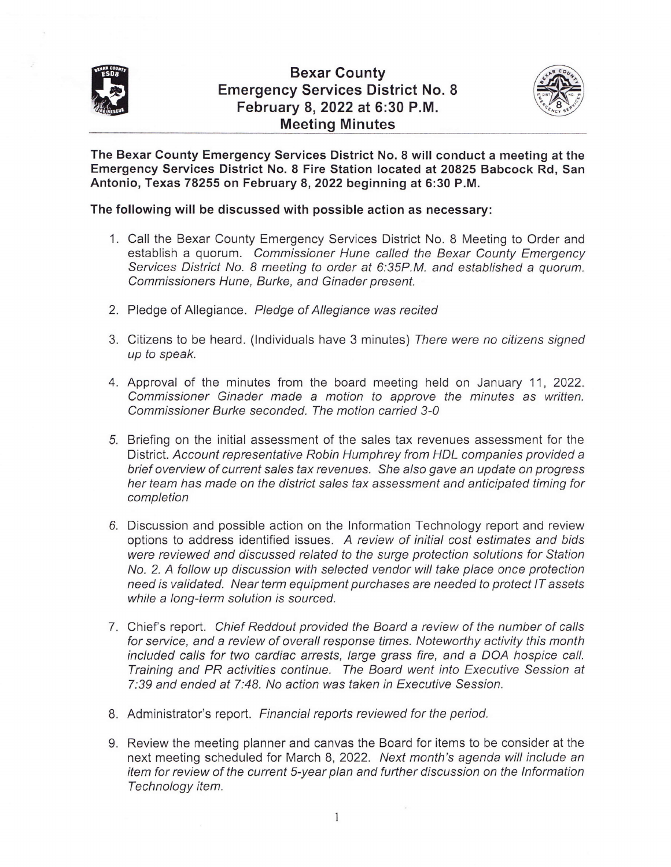

## Bexar Gounty Emergency Services District No. 8 February 8,2022 at 6:30 P.M. Meeting Minutes



The Bexar County Emergency Services District No. 8 will conduct a meeting at the Emergency Services District No. 8 Fire Station located at 20825 Babcock Rd, San Antonio, Texas 78255 on February 8,2022 beginning at 6:30 P.M.

## The following will be discussed with possible action as necessary:

- 1. Call the Bexar County Emergency Services District No. 8 Meeting to Order and establish a quorum. Commissioner Hune called the Bexar County Emergency Services District No. 8 meeting to order at 6:35P.M. and established a quorum. Commissioners Hune, Burke, and Ginader present.
- 2. Pledge of Allegiance. Pledge of Allegiance was recited
- 3. Citizens to be heard. (lndividuals have 3 minutes) There were no citizens signed up to speak.
- 4. Approval of the minutes from the board meeting held on January 11, 2022. Commissioner Ginader made a motion to approve the minutes as written. Commissioner Burke seconded. The motion carried 3-0
- 5. Briefing on the initial assessment of the sales tax revenues assessment for the District. Account representative Robin Humphrey from HDL companies provided a brief overview of current sales tax revenues. She also gave an update on progress her team has made on the district sales tax assessment and anticipated timing for completion
- 6. Discussion and possible action on the Information Technology report and review options to address identified issues. A review of initial cosf estimates and bids were reviewed and discussed related to the surge protection solutions for Station No. 2. A follow up discussion with selected vendor will take place once protection need is validated. Near term equipment purchases are needed to protect IT assets while a long-term solution is sourced.
- 7. Chief's report. Chief Reddout provided the Board a review of the number of calls for service, and a review of overall response times. Noteworthy activity this month included calls for two cardiac arresfs, large grass fire, and a DOA hospice call. Training and PR activities continue. The Board went into Executive Session at 7:39 and ended at 7:48. No action was taken in Executive Session.
- 8. Administrator's report. Financial reports reviewed for the period.
- 9. Review the meeting planner and canvas the Board for items to be consider at the next meeting scheduled for March 8,2022. Next month's agenda will include an item for review of the current S-year plan and further discussion on the lnformation Technology item.